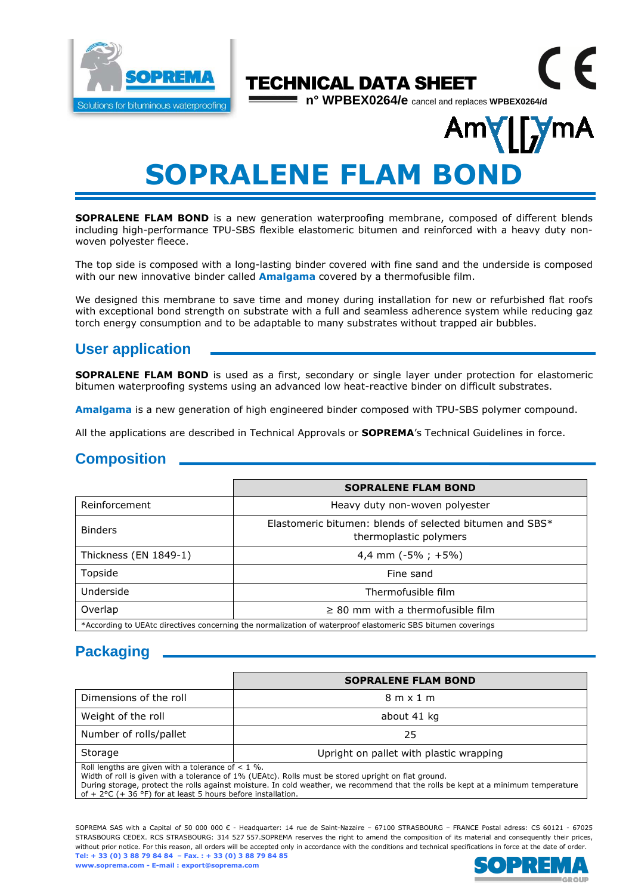

# CE TECHNICAL DATA SHEET

**n° WPBEX0264/e** cancel and replaces **WPBEX0264/d**

# Am **SOPRALENE FLAM BONI**

**SOPRALENE FLAM BOND** is a new generation waterproofing membrane, composed of different blends including high-performance TPU-SBS flexible elastomeric bitumen and reinforced with a heavy duty nonwoven polyester fleece.

The top side is composed with a long-lasting binder covered with fine sand and the underside is composed with our new innovative binder called **Amalgama** covered by a thermofusible film.

We designed this membrane to save time and money during installation for new or refurbished flat roofs with exceptional bond strength on substrate with a full and seamless adherence system while reducing gaz torch energy consumption and to be adaptable to many substrates without trapped air bubbles.

# **User application**

**SOPRALENE FLAM BOND** is used as a first, secondary or single layer under protection for elastomeric bitumen waterproofing systems using an advanced low heat-reactive binder on difficult substrates.

**Amalgama** is a new generation of high engineered binder composed with TPU-SBS polymer compound.

All the applications are described in Technical Approvals or **SOPREMA**'s Technical Guidelines in force.

## **Composition**

|                                                                                                             | <b>SOPRALENE FLAM BOND</b>                                                         |  |  |  |
|-------------------------------------------------------------------------------------------------------------|------------------------------------------------------------------------------------|--|--|--|
| Reinforcement                                                                                               | Heavy duty non-woven polyester                                                     |  |  |  |
| <b>Binders</b>                                                                                              | Elastomeric bitumen: blends of selected bitumen and SBS*<br>thermoplastic polymers |  |  |  |
| Thickness (EN 1849-1)                                                                                       | 4,4 mm $(-5\% ; +5\%)$                                                             |  |  |  |
| Topside                                                                                                     | Fine sand                                                                          |  |  |  |
| Underside                                                                                                   | Thermofusible film                                                                 |  |  |  |
| Overlap                                                                                                     | $\geq$ 80 mm with a thermofusible film                                             |  |  |  |
| *According to UEAtc directives concerning the normalization of waterproof elastomeric SBS bitumen coverings |                                                                                    |  |  |  |

# **Packaging**

|                                                                                                                                                                                                                                                                                                 | <b>SOPRALENE FLAM BOND</b>              |  |  |  |
|-------------------------------------------------------------------------------------------------------------------------------------------------------------------------------------------------------------------------------------------------------------------------------------------------|-----------------------------------------|--|--|--|
| Dimensions of the roll                                                                                                                                                                                                                                                                          | $8m \times 1m$                          |  |  |  |
| Weight of the roll                                                                                                                                                                                                                                                                              | about 41 kg                             |  |  |  |
| Number of rolls/pallet                                                                                                                                                                                                                                                                          | 25                                      |  |  |  |
| Storage                                                                                                                                                                                                                                                                                         | Upright on pallet with plastic wrapping |  |  |  |
| Roll lengths are given with a tolerance of $< 1$ %.<br>Width of roll is given with a tolerance of 1% (UEAtc). Rolls must be stored upright on flat ground.<br>During storage, protect the rolls against moisture. In cold weather, we recommend that the rolls be kept at a minimum temperature |                                         |  |  |  |

of +  $2^{\circ}$ C (+  $36^{\circ}$ F) for at least 5 hours before installation.

SOPREMA SAS with a Capital of 50 000 000 € - Headquarter: 14 rue de Saint-Nazaire – 67100 STRASBOURG – FRANCE Postal adress: CS 60121 - 67025 STRASBOURG CEDEX. RCS STRASBOURG: 314 527 557.SOPREMA reserves the right to amend the composition of its material and consequently their prices, without prior notice. For this reason, all orders will be accepted only in accordance with the conditions and technical specifications in force at the date of order. **Tel: + 33 (0) 3 88 79 84 84 – Fax. : + 33 (0) 3 88 79 84 85**

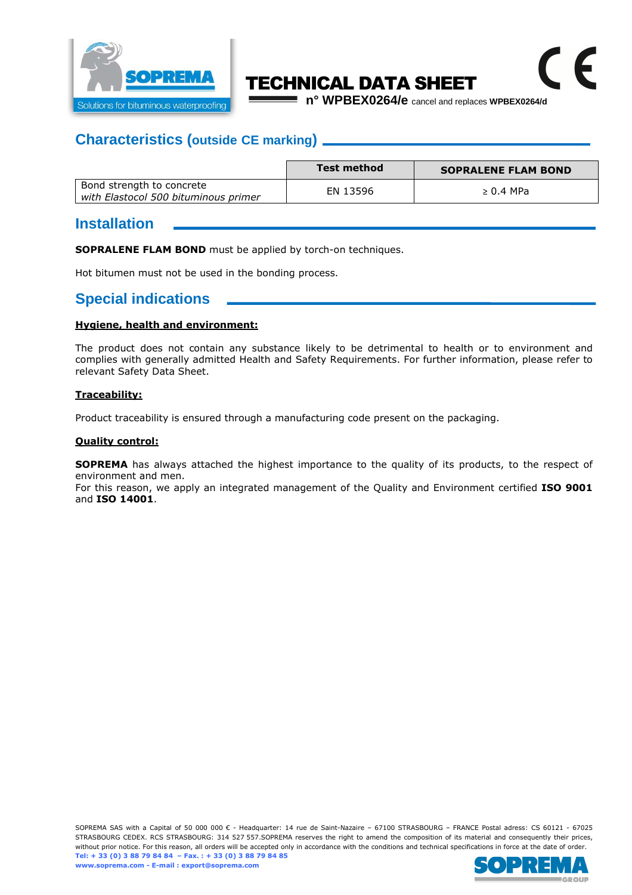

# TECHNICAL DATA SHEET

**n° WPBEX0264/e** cancel and replaces **WPBEX0264/d**

 $\epsilon$ 

## **Characteristics (outside CE marking)**

|                                                                   | Test method | <b>SOPRALENE FLAM BOND</b> |
|-------------------------------------------------------------------|-------------|----------------------------|
| Bond strength to concrete<br>with Elastocol 500 bituminous primer | EN 13596    | $\geq 0.4$ MPa             |

#### **Installation**

**SOPRALENE FLAM BOND** must be applied by torch-on techniques.

Hot bitumen must not be used in the bonding process.

## **Special indications**

#### **Hygiene, health and environment:**

The product does not contain any substance likely to be detrimental to health or to environment and complies with generally admitted Health and Safety Requirements. For further information, please refer to relevant Safety Data Sheet.

#### **Traceability:**

Product traceability is ensured through a manufacturing code present on the packaging.

#### **Quality control:**

**SOPREMA** has always attached the highest importance to the quality of its products, to the respect of environment and men.

For this reason, we apply an integrated management of the Quality and Environment certified **ISO 9001**  and **ISO 14001**.